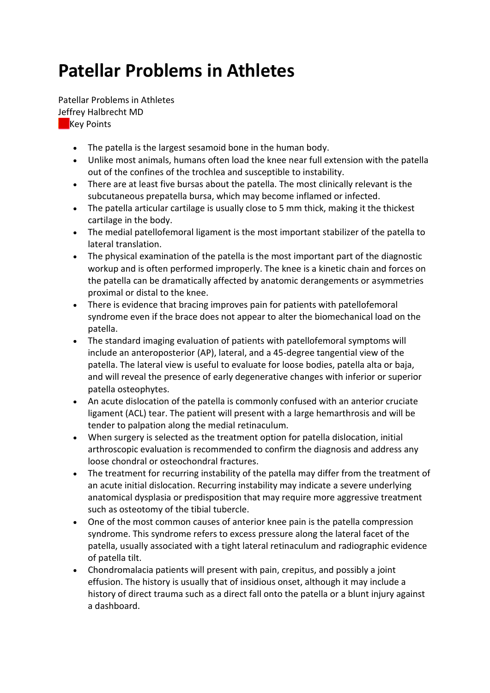# **Patellar Problems in Athletes**

Patellar Problems in Athletes Jeffrey Halbrecht MD **Key Points** 

- The patella is the largest sesamoid bone in the human body.
- Unlike most animals, humans often load the knee near full extension with the patella out of the confines of the trochlea and susceptible to instability.
- There are at least five bursas about the patella. The most clinically relevant is the subcutaneous prepatella bursa, which may become inflamed or infected.
- The patella articular cartilage is usually close to 5 mm thick, making it the thickest cartilage in the body.
- The medial patellofemoral ligament is the most important stabilizer of the patella to lateral translation.
- The physical examination of the patella is the most important part of the diagnostic workup and is often performed improperly. The knee is a kinetic chain and forces on the patella can be dramatically affected by anatomic derangements or asymmetries proximal or distal to the knee.
- There is evidence that bracing improves pain for patients with patellofemoral syndrome even if the brace does not appear to alter the biomechanical load on the patella.
- The standard imaging evaluation of patients with patellofemoral symptoms will include an anteroposterior (AP), lateral, and a 45-degree tangential view of the patella. The lateral view is useful to evaluate for loose bodies, patella alta or baja, and will reveal the presence of early degenerative changes with inferior or superior patella osteophytes.
- An acute dislocation of the patella is commonly confused with an anterior cruciate ligament (ACL) tear. The patient will present with a large hemarthrosis and will be tender to palpation along the medial retinaculum.
- When surgery is selected as the treatment option for patella dislocation, initial arthroscopic evaluation is recommended to confirm the diagnosis and address any loose chondral or osteochondral fractures.
- The treatment for recurring instability of the patella may differ from the treatment of an acute initial dislocation. Recurring instability may indicate a severe underlying anatomical dysplasia or predisposition that may require more aggressive treatment such as osteotomy of the tibial tubercle.
- One of the most common causes of anterior knee pain is the patella compression syndrome. This syndrome refers to excess pressure along the lateral facet of the patella, usually associated with a tight lateral retinaculum and radiographic evidence of patella tilt.
- Chondromalacia patients will present with pain, crepitus, and possibly a joint effusion. The history is usually that of insidious onset, although it may include a history of direct trauma such as a direct fall onto the patella or a blunt injury against a dashboard.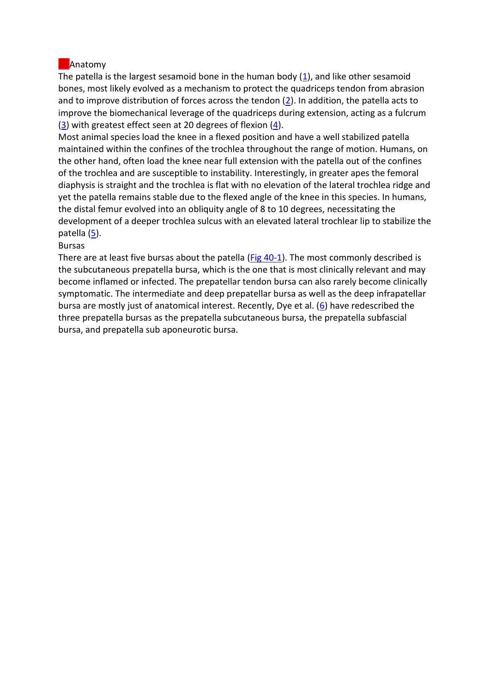## **Anatomy**

The patella is the largest sesamoid bone in the human body  $(1)$ , and like other sesamoid bones, most likely evolved as a mechanism to protect the quadriceps tendon from abrasion and to improve distribution of forces across the tendon [\(2\)](https://musculoskeletalkey.com/patellar-problems-in-athletes/#R2-40). In addition, the patella acts to improve the biomechanical leverage of the quadriceps during extension, acting as a fulcrum [\(3\)](https://musculoskeletalkey.com/patellar-problems-in-athletes/#R3-40) with greatest effect seen at 20 degrees of flexion [\(4\)](https://musculoskeletalkey.com/patellar-problems-in-athletes/#R4-40).

Most animal species load the knee in a flexed position and have a well stabilized patella maintained within the confines of the trochlea throughout the range of motion. Humans, on the other hand, often load the knee near full extension with the patella out of the confines of the trochlea and are susceptible to instability. Interestingly, in greater apes the femoral diaphysis is straight and the trochlea is flat with no elevation of the lateral trochlea ridge and yet the patella remains stable due to the flexed angle of the knee in this species. In humans, the distal femur evolved into an obliquity angle of 8 to 10 degrees, necessitating the development of a deeper trochlea sulcus with an elevated lateral trochlear lip to stabilize the patella [\(5\)](https://musculoskeletalkey.com/patellar-problems-in-athletes/#R5-40).

#### Bursas

There are at least five bursas about the patella [\(Fig 40-1\)](https://musculoskeletalkey.com/patellar-problems-in-athletes/#F1-40). The most commonly described is the subcutaneous prepatella bursa, which is the one that is most clinically relevant and may become inflamed or infected. The prepatellar tendon bursa can also rarely become clinically symptomatic. The intermediate and deep prepatellar bursa as well as the deep infrapatellar bursa are mostly just of anatomical interest. Recently, Dye et al.  $(6)$  have redescribed the three prepatella bursas as the prepatella subcutaneous bursa, the prepatella subfascial bursa, and prepatella sub aponeurotic bursa.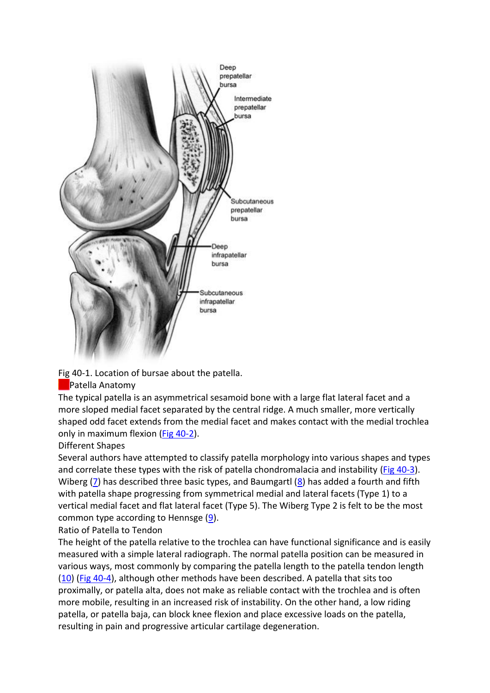

Fig 40-1. Location of bursae about the patella.

## Patella Anatomy

The typical patella is an asymmetrical sesamoid bone with a large flat lateral facet and a more sloped medial facet separated by the central ridge. A much smaller, more vertically shaped odd facet extends from the medial facet and makes contact with the medial trochlea only in maximum flexion [\(Fig 40-2\)](https://musculoskeletalkey.com/patellar-problems-in-athletes/#F2-40).

Different Shapes

Several authors have attempted to classify patella morphology into various shapes and types and correlate these types with the risk of patella chondromalacia and instability [\(Fig 40-3\)](https://musculoskeletalkey.com/patellar-problems-in-athletes/#F3-40). Wiberg [\(7\)](https://musculoskeletalkey.com/patellar-problems-in-athletes/#R7-40) has described three basic types, and Baumgartl [\(8\)](https://musculoskeletalkey.com/patellar-problems-in-athletes/#R8-40) has added a fourth and fifth with patella shape progressing from symmetrical medial and lateral facets (Type 1) to a vertical medial facet and flat lateral facet (Type 5). The Wiberg Type 2 is felt to be the most common type according to Hennsge [\(9\)](https://musculoskeletalkey.com/patellar-problems-in-athletes/#R9-40).

Ratio of Patella to Tendon

The height of the patella relative to the trochlea can have functional significance and is easily measured with a simple lateral radiograph. The normal patella position can be measured in various ways, most commonly by comparing the patella length to the patella tendon length [\(10\)](https://musculoskeletalkey.com/patellar-problems-in-athletes/#R10-40) [\(Fig 40-4\)](https://musculoskeletalkey.com/patellar-problems-in-athletes/#F4-40), although other methods have been described. A patella that sits too proximally, or patella alta, does not make as reliable contact with the trochlea and is often more mobile, resulting in an increased risk of instability. On the other hand, a low riding patella, or patella baja, can block knee flexion and place excessive loads on the patella, resulting in pain and progressive articular cartilage degeneration.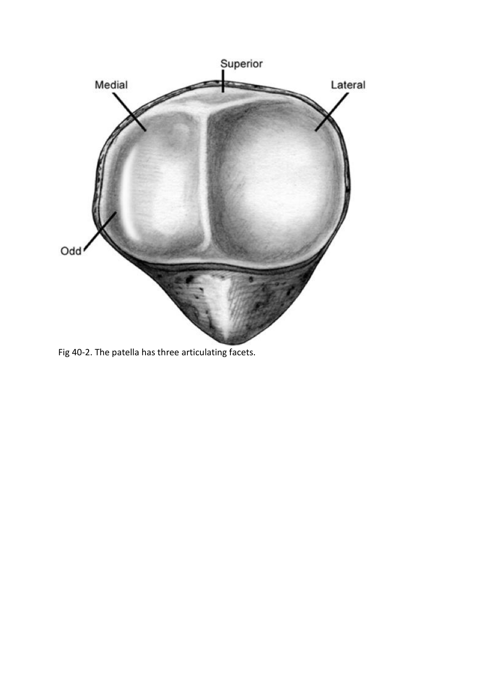

Fig 40-2. The patella has three articulating facets.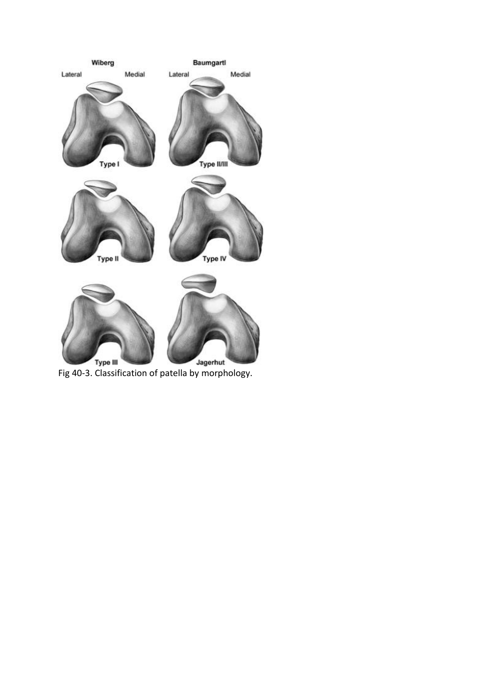

Fig 40-3. Classification of patella by morphology.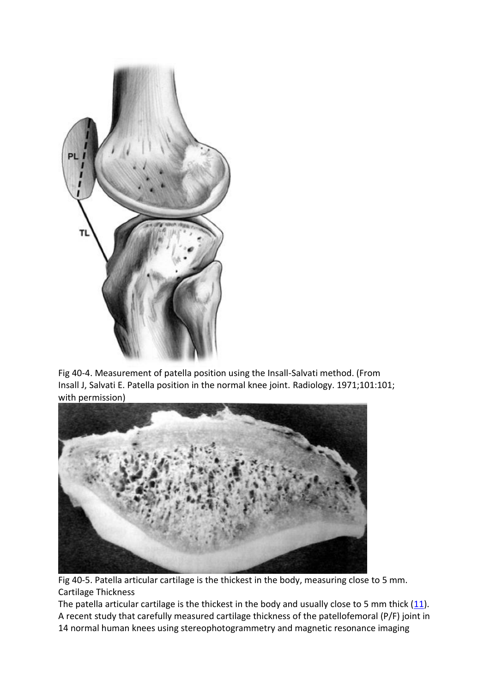

Fig 40-4. Measurement of patella position using the Insall-Salvati method. (From Insall J, Salvati E. Patella position in the normal knee joint. Radiology. 1971;101:101; with permission)



Fig 40-5. Patella articular cartilage is the thickest in the body, measuring close to 5 mm. Cartilage Thickness

The patella articular cartilage is the thickest in the body and usually close to 5 mm thick  $(11)$ . A recent study that carefully measured cartilage thickness of the patellofemoral (P/F) joint in 14 normal human knees using stereophotogrammetry and magnetic resonance imaging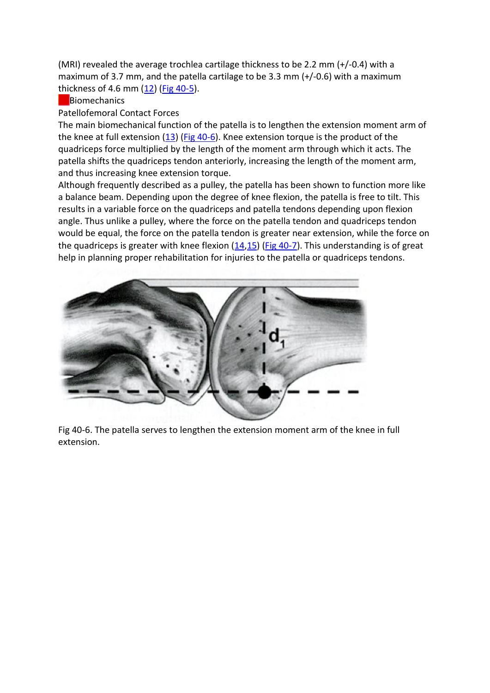(MRI) revealed the average trochlea cartilage thickness to be 2.2 mm (+/-0.4) with a maximum of 3.7 mm, and the patella cartilage to be 3.3 mm (+/-0.6) with a maximum thickness of 4.6 mm [\(12\)](https://musculoskeletalkey.com/patellar-problems-in-athletes/#R12-40) [\(Fig 40-5\)](https://musculoskeletalkey.com/patellar-problems-in-athletes/#F5-40).

**Biomechanics** 

#### Patellofemoral Contact Forces

The main biomechanical function of the patella is to lengthen the extension moment arm of the knee at full extension  $(13)$  [\(Fig 40-6\)](https://musculoskeletalkey.com/patellar-problems-in-athletes/#F6-40). Knee extension torque is the product of the quadriceps force multiplied by the length of the moment arm through which it acts. The patella shifts the quadriceps tendon anteriorly, increasing the length of the moment arm, and thus increasing knee extension torque.

Although frequently described as a pulley, the patella has been shown to function more like a balance beam. Depending upon the degree of knee flexion, the patella is free to tilt. This results in a variable force on the quadriceps and patella tendons depending upon flexion angle. Thus unlike a pulley, where the force on the patella tendon and quadriceps tendon would be equal, the force on the patella tendon is greater near extension, while the force on the quadriceps is greater with knee flexion [\(14](https://musculoskeletalkey.com/patellar-problems-in-athletes/#R14-40)[,15\)](https://musculoskeletalkey.com/patellar-problems-in-athletes/#R15-40) [\(Fig 40-7\)](https://musculoskeletalkey.com/patellar-problems-in-athletes/#F7-40). This understanding is of great help in planning proper rehabilitation for injuries to the patella or quadriceps tendons.



Fig 40-6. The patella serves to lengthen the extension moment arm of the knee in full extension.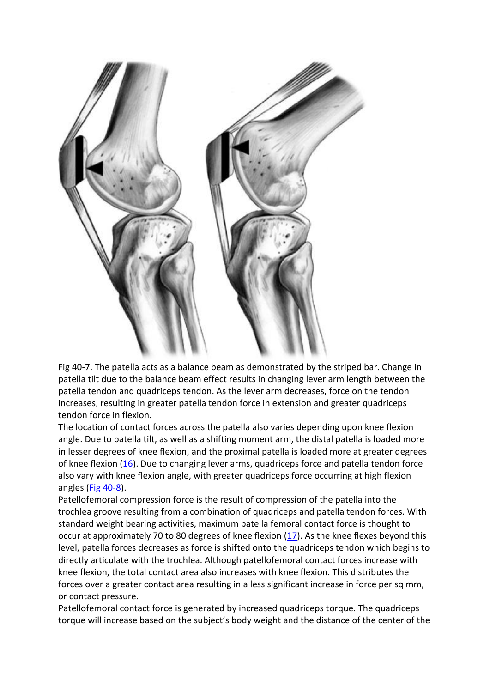

Fig 40-7. The patella acts as a balance beam as demonstrated by the striped bar. Change in patella tilt due to the balance beam effect results in changing lever arm length between the patella tendon and quadriceps tendon. As the lever arm decreases, force on the tendon increases, resulting in greater patella tendon force in extension and greater quadriceps tendon force in flexion.

The location of contact forces across the patella also varies depending upon knee flexion angle. Due to patella tilt, as well as a shifting moment arm, the distal patella is loaded more in lesser degrees of knee flexion, and the proximal patella is loaded more at greater degrees of knee flexion [\(16\)](https://musculoskeletalkey.com/patellar-problems-in-athletes/#R16-40). Due to changing lever arms, quadriceps force and patella tendon force also vary with knee flexion angle, with greater quadriceps force occurring at high flexion angles [\(Fig 40-8\)](https://musculoskeletalkey.com/patellar-problems-in-athletes/#F8-40).

Patellofemoral compression force is the result of compression of the patella into the trochlea groove resulting from a combination of quadriceps and patella tendon forces. With standard weight bearing activities, maximum patella femoral contact force is thought to occur at approximately 70 to 80 degrees of knee flexion [\(17\)](https://musculoskeletalkey.com/patellar-problems-in-athletes/#R17-40). As the knee flexes beyond this level, patella forces decreases as force is shifted onto the quadriceps tendon which begins to directly articulate with the trochlea. Although patellofemoral contact forces increase with knee flexion, the total contact area also increases with knee flexion. This distributes the forces over a greater contact area resulting in a less significant increase in force per sq mm, or contact pressure.

Patellofemoral contact force is generated by increased quadriceps torque. The quadriceps torque will increase based on the subject's body weight and the distance of the center of the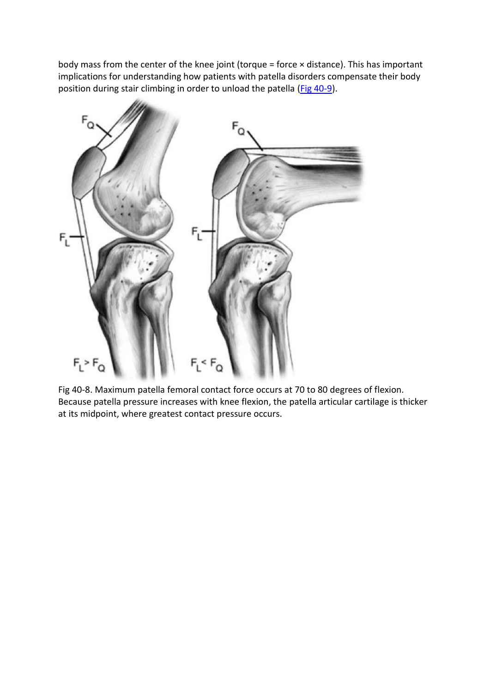body mass from the center of the knee joint (torque = force × distance). This has important implications for understanding how patients with patella disorders compensate their body position during stair climbing in order to unload the patella [\(Fig 40-9\)](https://musculoskeletalkey.com/patellar-problems-in-athletes/#F9-40).



Fig 40-8. Maximum patella femoral contact force occurs at 70 to 80 degrees of flexion. Because patella pressure increases with knee flexion, the patella articular cartilage is thicker at its midpoint, where greatest contact pressure occurs.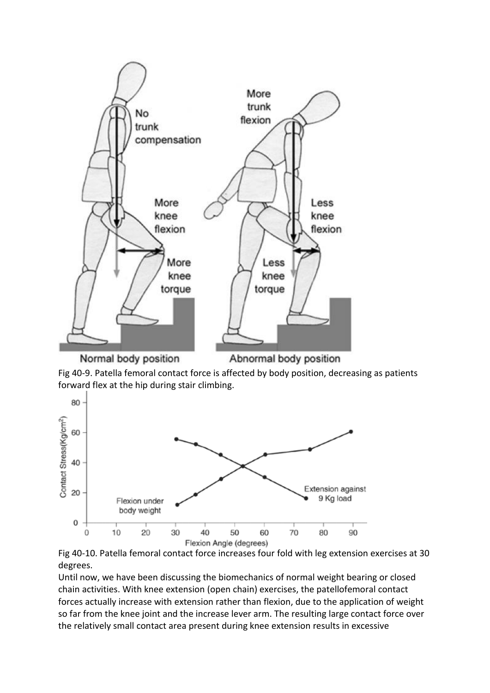

Normal body position

Abnormal body position

Fig 40-9. Patella femoral contact force is affected by body position, decreasing as patients forward flex at the hip during stair climbing.



Fig 40-10. Patella femoral contact force increases four fold with leg extension exercises at 30 degrees.

Until now, we have been discussing the biomechanics of normal weight bearing or closed chain activities. With knee extension (open chain) exercises, the patellofemoral contact forces actually increase with extension rather than flexion, due to the application of weight so far from the knee joint and the increase lever arm. The resulting large contact force over the relatively small contact area present during knee extension results in excessive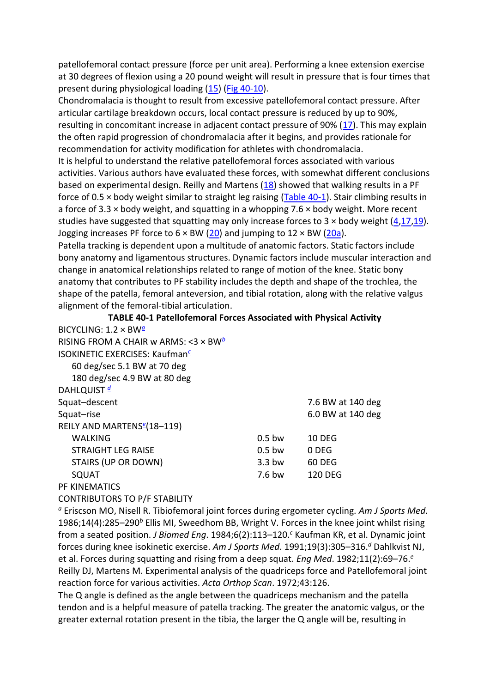patellofemoral contact pressure (force per unit area). Performing a knee extension exercise at 30 degrees of flexion using a 20 pound weight will result in pressure that is four times that present during physiological loading [\(15\)](https://musculoskeletalkey.com/patellar-problems-in-athletes/#R15-40) [\(Fig 40-10\)](https://musculoskeletalkey.com/patellar-problems-in-athletes/#F10-40).

Chondromalacia is thought to result from excessive patellofemoral contact pressure. After articular cartilage breakdown occurs, local contact pressure is reduced by up to 90%, resulting in concomitant increase in adjacent contact pressure of 90% [\(17\)](https://musculoskeletalkey.com/patellar-problems-in-athletes/#R17-40). This may explain the often rapid progression of chondromalacia after it begins, and provides rationale for recommendation for activity modification for athletes with chondromalacia.

It is helpful to understand the relative patellofemoral forces associated with various activities. Various authors have evaluated these forces, with somewhat different conclusions based on experimental design. Reilly and Martens [\(18\)](https://musculoskeletalkey.com/patellar-problems-in-athletes/#R18-40) showed that walking results in a PF force of 0.5  $\times$  body weight similar to straight leg raising [\(Table 40-1\)](https://musculoskeletalkey.com/patellar-problems-in-athletes/#T1-40). Stair climbing results in a force of 3.3  $\times$  body weight, and squatting in a whopping 7.6  $\times$  body weight. More recent studies have suggested that squatting may only increase forces to  $3 \times$  body weight [\(4](https://musculoskeletalkey.com/patellar-problems-in-athletes/#R4-40)[,17](https://musculoskeletalkey.com/patellar-problems-in-athletes/#R17-40)[,19\)](https://musculoskeletalkey.com/patellar-problems-in-athletes/#R19-40). Jogging increases PF force to  $6 \times BW$  [\(20\)](https://musculoskeletalkey.com/patellar-problems-in-athletes/#R20-40) and jumping to  $12 \times BW$  [\(20a\)](https://musculoskeletalkey.com/patellar-problems-in-athletes/#R20A-40).

Patella tracking is dependent upon a multitude of anatomic factors. Static factors include bony anatomy and ligamentous structures. Dynamic factors include muscular interaction and change in anatomical relationships related to range of motion of the knee. Static bony anatomy that contributes to PF stability includes the depth and shape of the trochlea, the shape of the patella, femoral anteversion, and tibial rotation, along with the relative valgus alignment of the femoral-tibial articulation.

#### **TABLE 40-1 Patellofemoral Forces Associated with Physical Activity**

| BICYCLING: $1.2 \times BW^{\underline{a}}$               |          |                   |
|----------------------------------------------------------|----------|-------------------|
| RISING FROM A CHAIR w ARMS: <3 $\times$ BW $\frac{1}{2}$ |          |                   |
| <b>ISOKINETIC EXERCISES: Kaufman</b> ⊆                   |          |                   |
| 60 deg/sec 5.1 BW at 70 deg                              |          |                   |
| 180 deg/sec 4.9 BW at 80 deg                             |          |                   |
| DAHLQUIST <sup>d</sup>                                   |          |                   |
| Squat-descent                                            |          | 7.6 BW at 140 deg |
| Squat-rise                                               |          | 6.0 BW at 140 deg |
| REILY AND MARTENS <sup>e</sup> (18-119)                  |          |                   |
| <b>WALKING</b>                                           | $0.5$ bw | <b>10 DEG</b>     |
| <b>STRAIGHT LEG RAISE</b>                                | $0.5$ bw | 0 DEG             |
| STAIRS (UP OR DOWN)                                      | $3.3$ bw | 60 DEG            |
| SQUAT                                                    | 7.6 bw   | <b>120 DEG</b>    |
| <b>PF KINEMATICS</b>                                     |          |                   |

CONTRIBUTORS TO P/F STABILITY

*<sup>a</sup>* Eriscson MO, Nisell R. Tibiofemoral joint forces during ergometer cycling. *Am J Sports Med*. 1986;14(4):285–290*<sup>b</sup>* Ellis MI, Sweedhom BB, Wright V. Forces in the knee joint whilst rising from a seated position. *J Biomed Eng*. 1984;6(2):113–120.*<sup>c</sup>* Kaufman KR, et al. Dynamic joint forces during knee isokinetic exercise. *Am J Sports Med*. 1991;19(3):305–316.*<sup>d</sup>* Dahlkvist NJ, et al. Forces during squatting and rising from a deep squat. *Eng Med*. 1982;11(2):69–76.*<sup>e</sup>* Reilly DJ, Martens M. Experimental analysis of the quadriceps force and Patellofemoral joint reaction force for various activities. *Acta Orthop Scan*. 1972;43:126.

The Q angle is defined as the angle between the quadriceps mechanism and the patella tendon and is a helpful measure of patella tracking. The greater the anatomic valgus, or the greater external rotation present in the tibia, the larger the Q angle will be, resulting in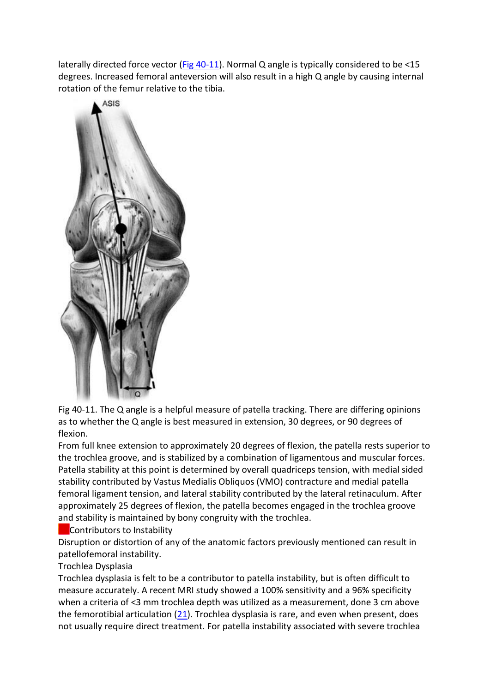laterally directed force vector ( $Fig 40-11$ ). Normal Q angle is typically considered to be <15 degrees. Increased femoral anteversion will also result in a high Q angle by causing internal rotation of the femur relative to the tibia.



Fig 40-11. The Q angle is a helpful measure of patella tracking. There are differing opinions as to whether the Q angle is best measured in extension, 30 degrees, or 90 degrees of flexion.

From full knee extension to approximately 20 degrees of flexion, the patella rests superior to the trochlea groove, and is stabilized by a combination of ligamentous and muscular forces. Patella stability at this point is determined by overall quadriceps tension, with medial sided stability contributed by Vastus Medialis Obliquos (VMO) contracture and medial patella femoral ligament tension, and lateral stability contributed by the lateral retinaculum. After approximately 25 degrees of flexion, the patella becomes engaged in the trochlea groove and stability is maintained by bony congruity with the trochlea.

#### **Contributors to Instability**

Disruption or distortion of any of the anatomic factors previously mentioned can result in patellofemoral instability.

#### Trochlea Dysplasia

Trochlea dysplasia is felt to be a contributor to patella instability, but is often difficult to measure accurately. A recent MRI study showed a 100% sensitivity and a 96% specificity when a criteria of <3 mm trochlea depth was utilized as a measurement, done 3 cm above the femorotibial articulation [\(21\)](https://musculoskeletalkey.com/patellar-problems-in-athletes/#R21-40). Trochlea dysplasia is rare, and even when present, does not usually require direct treatment. For patella instability associated with severe trochlea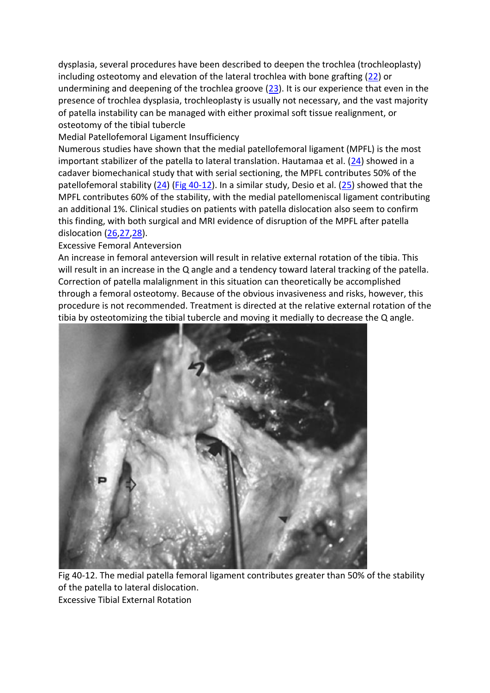dysplasia, several procedures have been described to deepen the trochlea (trochleoplasty) including osteotomy and elevation of the lateral trochlea with bone grafting [\(22\)](https://musculoskeletalkey.com/patellar-problems-in-athletes/#R22-40) or undermining and deepening of the trochlea groove  $(23)$ . It is our experience that even in the presence of trochlea dysplasia, trochleoplasty is usually not necessary, and the vast majority of patella instability can be managed with either proximal soft tissue realignment, or osteotomy of the tibial tubercle

Medial Patellofemoral Ligament Insufficiency

Numerous studies have shown that the medial patellofemoral ligament (MPFL) is the most important stabilizer of the patella to lateral translation. Hautamaa et al. [\(24\)](https://musculoskeletalkey.com/patellar-problems-in-athletes/#R24-40) showed in a cadaver biomechanical study that with serial sectioning, the MPFL contributes 50% of the patellofemoral stability [\(24\)](https://musculoskeletalkey.com/patellar-problems-in-athletes/#R24-40) [\(Fig 40-12\)](https://musculoskeletalkey.com/patellar-problems-in-athletes/#F12-40). In a similar study, Desio et al. [\(25\)](https://musculoskeletalkey.com/patellar-problems-in-athletes/#R25-40) showed that the MPFL contributes 60% of the stability, with the medial patellomeniscal ligament contributing an additional 1%. Clinical studies on patients with patella dislocation also seem to confirm this finding, with both surgical and MRI evidence of disruption of the MPFL after patella dislocation [\(26,](https://musculoskeletalkey.com/patellar-problems-in-athletes/#R26-40)[27](https://musculoskeletalkey.com/patellar-problems-in-athletes/#R27-40)[,28\)](https://musculoskeletalkey.com/patellar-problems-in-athletes/#R28-40).

#### Excessive Femoral Anteversion

An increase in femoral anteversion will result in relative external rotation of the tibia. This will result in an increase in the Q angle and a tendency toward lateral tracking of the patella. Correction of patella malalignment in this situation can theoretically be accomplished through a femoral osteotomy. Because of the obvious invasiveness and risks, however, this procedure is not recommended. Treatment is directed at the relative external rotation of the tibia by osteotomizing the tibial tubercle and moving it medially to decrease the Q angle.



Fig 40-12. The medial patella femoral ligament contributes greater than 50% of the stability of the patella to lateral dislocation. Excessive Tibial External Rotation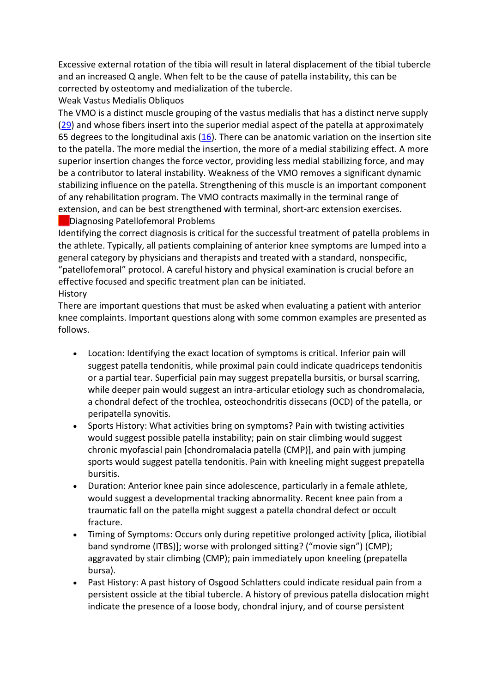Excessive external rotation of the tibia will result in lateral displacement of the tibial tubercle and an increased Q angle. When felt to be the cause of patella instability, this can be corrected by osteotomy and medialization of the tubercle.

Weak Vastus Medialis Obliquos

The VMO is a distinct muscle grouping of the vastus medialis that has a distinct nerve supply [\(29\)](https://musculoskeletalkey.com/patellar-problems-in-athletes/#R29-40) and whose fibers insert into the superior medial aspect of the patella at approximately 65 degrees to the longitudinal axis  $(16)$ . There can be anatomic variation on the insertion site to the patella. The more medial the insertion, the more of a medial stabilizing effect. A more superior insertion changes the force vector, providing less medial stabilizing force, and may be a contributor to lateral instability. Weakness of the VMO removes a significant dynamic stabilizing influence on the patella. Strengthening of this muscle is an important component of any rehabilitation program. The VMO contracts maximally in the terminal range of extension, and can be best strengthened with terminal, short-arc extension exercises.

## **Diagnosing Patellofemoral Problems**

Identifying the correct diagnosis is critical for the successful treatment of patella problems in the athlete. Typically, all patients complaining of anterior knee symptoms are lumped into a general category by physicians and therapists and treated with a standard, nonspecific, "patellofemoral" protocol. A careful history and physical examination is crucial before an effective focused and specific treatment plan can be initiated. History

There are important questions that must be asked when evaluating a patient with anterior knee complaints. Important questions along with some common examples are presented as follows.

- Location: Identifying the exact location of symptoms is critical. Inferior pain will suggest patella tendonitis, while proximal pain could indicate quadriceps tendonitis or a partial tear. Superficial pain may suggest prepatella bursitis, or bursal scarring, while deeper pain would suggest an intra-articular etiology such as chondromalacia, a chondral defect of the trochlea, osteochondritis dissecans (OCD) of the patella, or peripatella synovitis.
- Sports History: What activities bring on symptoms? Pain with twisting activities would suggest possible patella instability; pain on stair climbing would suggest chronic myofascial pain [chondromalacia patella (CMP)], and pain with jumping sports would suggest patella tendonitis. Pain with kneeling might suggest prepatella bursitis.
- Duration: Anterior knee pain since adolescence, particularly in a female athlete, would suggest a developmental tracking abnormality. Recent knee pain from a traumatic fall on the patella might suggest a patella chondral defect or occult fracture.
- Timing of Symptoms: Occurs only during repetitive prolonged activity [plica, iliotibial band syndrome (ITBS)]; worse with prolonged sitting? ("movie sign") (CMP); aggravated by stair climbing (CMP); pain immediately upon kneeling (prepatella bursa).
- Past History: A past history of Osgood Schlatters could indicate residual pain from a persistent ossicle at the tibial tubercle. A history of previous patella dislocation might indicate the presence of a loose body, chondral injury, and of course persistent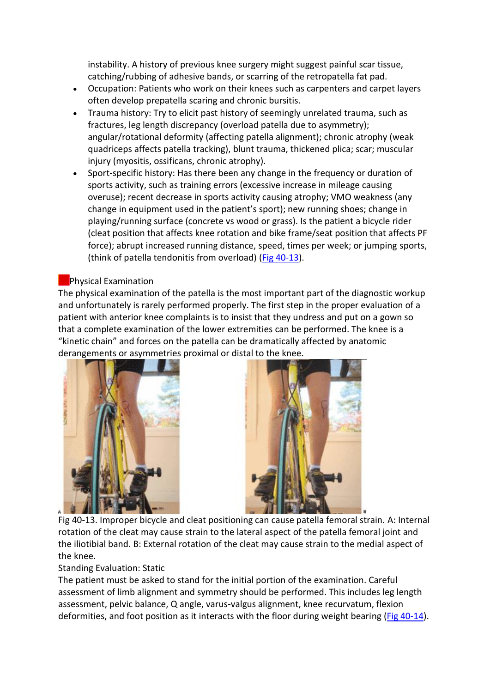instability. A history of previous knee surgery might suggest painful scar tissue, catching/rubbing of adhesive bands, or scarring of the retropatella fat pad.

- Occupation: Patients who work on their knees such as carpenters and carpet layers often develop prepatella scaring and chronic bursitis.
- Trauma history: Try to elicit past history of seemingly unrelated trauma, such as fractures, leg length discrepancy (overload patella due to asymmetry); angular/rotational deformity (affecting patella alignment); chronic atrophy (weak quadriceps affects patella tracking), blunt trauma, thickened plica; scar; muscular injury (myositis, ossificans, chronic atrophy).
- Sport-specific history: Has there been any change in the frequency or duration of sports activity, such as training errors (excessive increase in mileage causing overuse); recent decrease in sports activity causing atrophy; VMO weakness (any change in equipment used in the patient's sport); new running shoes; change in playing/running surface (concrete vs wood or grass). Is the patient a bicycle rider (cleat position that affects knee rotation and bike frame/seat position that affects PF force); abrupt increased running distance, speed, times per week; or jumping sports, (think of patella tendonitis from overload) [\(Fig 40-13\)](https://musculoskeletalkey.com/patellar-problems-in-athletes/#F13-40).

#### **Physical Examination**

The physical examination of the patella is the most important part of the diagnostic workup and unfortunately is rarely performed properly. The first step in the proper evaluation of a patient with anterior knee complaints is to insist that they undress and put on a gown so that a complete examination of the lower extremities can be performed. The knee is a "kinetic chain" and forces on the patella can be dramatically affected by anatomic derangements or asymmetries proximal or distal to the knee.





Fig 40-13. Improper bicycle and cleat positioning can cause patella femoral strain. A: Internal rotation of the cleat may cause strain to the lateral aspect of the patella femoral joint and the iliotibial band. B: External rotation of the cleat may cause strain to the medial aspect of the knee.

#### Standing Evaluation: Static

The patient must be asked to stand for the initial portion of the examination. Careful assessment of limb alignment and symmetry should be performed. This includes leg length assessment, pelvic balance, Q angle, varus-valgus alignment, knee recurvatum, flexion deformities, and foot position as it interacts with the floor during weight bearing [\(Fig 40-14\)](https://musculoskeletalkey.com/patellar-problems-in-athletes/#F14-40).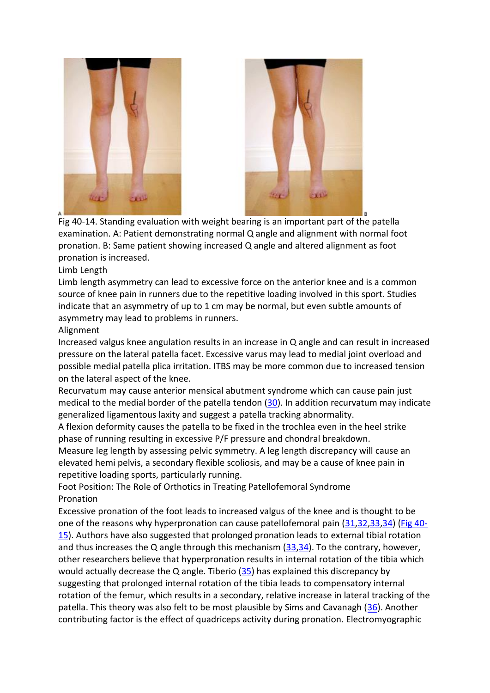



Fig 40-14. Standing evaluation with weight bearing is an important part of the patella examination. A: Patient demonstrating normal Q angle and alignment with normal foot pronation. B: Same patient showing increased Q angle and altered alignment as foot pronation is increased.

#### Limb Length

Limb length asymmetry can lead to excessive force on the anterior knee and is a common source of knee pain in runners due to the repetitive loading involved in this sport. Studies indicate that an asymmetry of up to 1 cm may be normal, but even subtle amounts of asymmetry may lead to problems in runners.

#### Alignment

Increased valgus knee angulation results in an increase in Q angle and can result in increased pressure on the lateral patella facet. Excessive varus may lead to medial joint overload and possible medial patella plica irritation. ITBS may be more common due to increased tension on the lateral aspect of the knee.

Recurvatum may cause anterior mensical abutment syndrome which can cause pain just medical to the medial border of the patella tendon [\(30\)](https://musculoskeletalkey.com/patellar-problems-in-athletes/#R30-40). In addition recurvatum may indicate generalized ligamentous laxity and suggest a patella tracking abnormality.

A flexion deformity causes the patella to be fixed in the trochlea even in the heel strike phase of running resulting in excessive P/F pressure and chondral breakdown.

Measure leg length by assessing pelvic symmetry. A leg length discrepancy will cause an elevated hemi pelvis, a secondary flexible scoliosis, and may be a cause of knee pain in repetitive loading sports, particularly running.

Foot Position: The Role of Orthotics in Treating Patellofemoral Syndrome Pronation

Excessive pronation of the foot leads to increased valgus of the knee and is thought to be one of the reasons why hyperpronation can cause patellofemoral pain [\(31](https://musculoskeletalkey.com/patellar-problems-in-athletes/#R31-40)[,32](https://musculoskeletalkey.com/patellar-problems-in-athletes/#R32-40)[,33,](https://musculoskeletalkey.com/patellar-problems-in-athletes/#R33-40)[34\)](https://musculoskeletalkey.com/patellar-problems-in-athletes/#R34-40) [\(Fig 40-](https://musculoskeletalkey.com/patellar-problems-in-athletes/#F15-40) [15\)](https://musculoskeletalkey.com/patellar-problems-in-athletes/#F15-40). Authors have also suggested that prolonged pronation leads to external tibial rotation and thus increases the Q angle through this mechanism  $(33,34)$  $(33,34)$ . To the contrary, however, other researchers believe that hyperpronation results in internal rotation of the tibia which would actually decrease the Q angle. Tiberio [\(35\)](https://musculoskeletalkey.com/patellar-problems-in-athletes/#R35-40) has explained this discrepancy by suggesting that prolonged internal rotation of the tibia leads to compensatory internal rotation of the femur, which results in a secondary, relative increase in lateral tracking of the patella. This theory was also felt to be most plausible by Sims and Cavanagh [\(36\)](https://musculoskeletalkey.com/patellar-problems-in-athletes/#R36-40). Another contributing factor is the effect of quadriceps activity during pronation. Electromyographic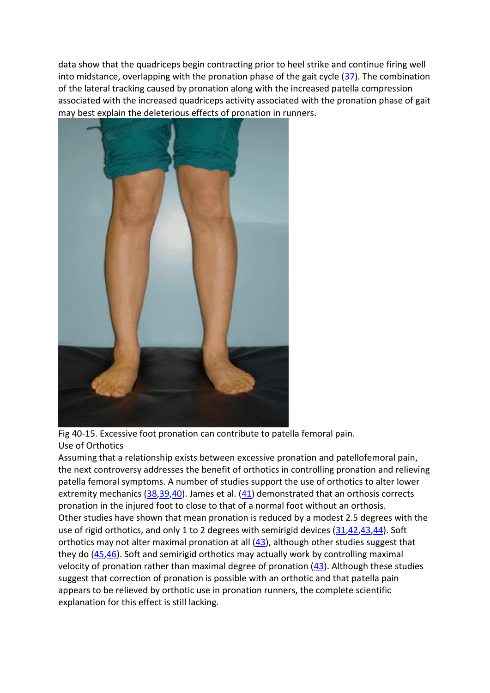data show that the quadriceps begin contracting prior to heel strike and continue firing well into midstance, overlapping with the pronation phase of the gait cycle [\(37\)](https://musculoskeletalkey.com/patellar-problems-in-athletes/#R37-40). The combination of the lateral tracking caused by pronation along with the increased patella compression associated with the increased quadriceps activity associated with the pronation phase of gait may best explain the deleterious effects of pronation in runners.



Fig 40-15. Excessive foot pronation can contribute to patella femoral pain. Use of Orthotics

Assuming that a relationship exists between excessive pronation and patellofemoral pain, the next controversy addresses the benefit of orthotics in controlling pronation and relieving patella femoral symptoms. A number of studies support the use of orthotics to alter lower extremity mechanics [\(38](https://musculoskeletalkey.com/patellar-problems-in-athletes/#R38-40)[,39,](https://musculoskeletalkey.com/patellar-problems-in-athletes/#R39-40)[40\)](https://musculoskeletalkey.com/patellar-problems-in-athletes/#R40-40). James et al. [\(41\)](https://musculoskeletalkey.com/patellar-problems-in-athletes/#R41-40) demonstrated that an orthosis corrects pronation in the injured foot to close to that of a normal foot without an orthosis. Other studies have shown that mean pronation is reduced by a modest 2.5 degrees with the use of rigid orthotics, and only 1 to 2 degrees with semirigid devices [\(31](https://musculoskeletalkey.com/patellar-problems-in-athletes/#R31-40)[,42,](https://musculoskeletalkey.com/patellar-problems-in-athletes/#R42-40)[43](https://musculoskeletalkey.com/patellar-problems-in-athletes/#R43-40)[,44\)](https://musculoskeletalkey.com/patellar-problems-in-athletes/#R44-40). Soft orthotics may not alter maximal pronation at all  $(43)$ , although other studies suggest that they do [\(45,](https://musculoskeletalkey.com/patellar-problems-in-athletes/#R45-40)[46\)](https://musculoskeletalkey.com/patellar-problems-in-athletes/#R46-40). Soft and semirigid orthotics may actually work by controlling maximal velocity of pronation rather than maximal degree of pronation  $(43)$ . Although these studies suggest that correction of pronation is possible with an orthotic and that patella pain appears to be relieved by orthotic use in pronation runners, the complete scientific explanation for this effect is still lacking.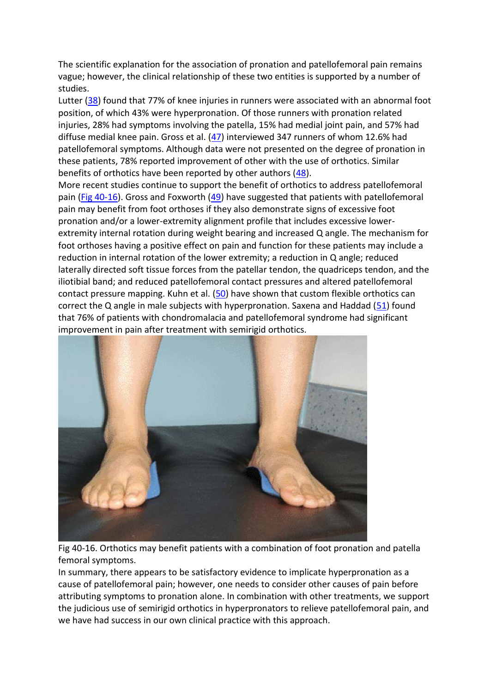The scientific explanation for the association of pronation and patellofemoral pain remains vague; however, the clinical relationship of these two entities is supported by a number of studies.

Lutter [\(38\)](https://musculoskeletalkey.com/patellar-problems-in-athletes/#R38-40) found that 77% of knee injuries in runners were associated with an abnormal foot position, of which 43% were hyperpronation. Of those runners with pronation related injuries, 28% had symptoms involving the patella, 15% had medial joint pain, and 57% had diffuse medial knee pain. Gross et al. [\(47\)](https://musculoskeletalkey.com/patellar-problems-in-athletes/#R47-40) interviewed 347 runners of whom 12.6% had patellofemoral symptoms. Although data were not presented on the degree of pronation in these patients, 78% reported improvement of other with the use of orthotics. Similar benefits of orthotics have been reported by other authors  $(48)$ .

More recent studies continue to support the benefit of orthotics to address patellofemoral pain ( $Fig 40-16$ ). Gross and Foxworth ( $49$ ) have suggested that patients with patellofemoral pain may benefit from foot orthoses if they also demonstrate signs of excessive foot pronation and/or a lower-extremity alignment profile that includes excessive lowerextremity internal rotation during weight bearing and increased Q angle. The mechanism for foot orthoses having a positive effect on pain and function for these patients may include a reduction in internal rotation of the lower extremity; a reduction in Q angle; reduced laterally directed soft tissue forces from the patellar tendon, the quadriceps tendon, and the iliotibial band; and reduced patellofemoral contact pressures and altered patellofemoral contact pressure mapping. Kuhn et al. [\(50\)](https://musculoskeletalkey.com/patellar-problems-in-athletes/#R50-40) have shown that custom flexible orthotics can correct the Q angle in male subjects with hyperpronation. Saxena and Haddad  $(51)$  found that 76% of patients with chondromalacia and patellofemoral syndrome had significant improvement in pain after treatment with semirigid orthotics.



Fig 40-16. Orthotics may benefit patients with a combination of foot pronation and patella femoral symptoms.

In summary, there appears to be satisfactory evidence to implicate hyperpronation as a cause of patellofemoral pain; however, one needs to consider other causes of pain before attributing symptoms to pronation alone. In combination with other treatments, we support the judicious use of semirigid orthotics in hyperpronators to relieve patellofemoral pain, and we have had success in our own clinical practice with this approach.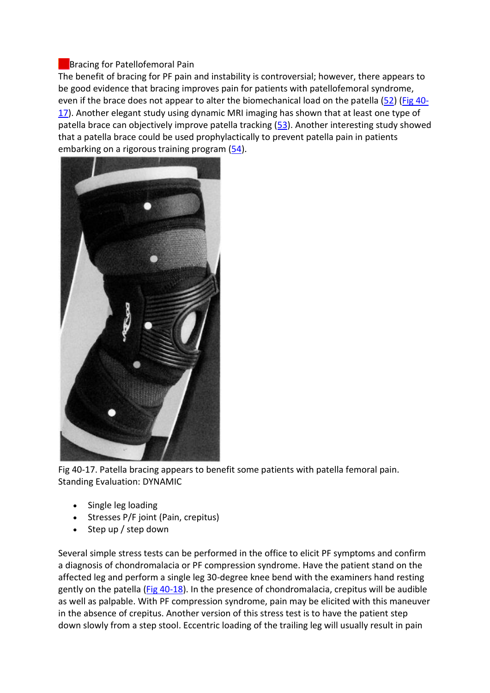### Bracing for Patellofemoral Pain

The benefit of bracing for PF pain and instability is controversial; however, there appears to be good evidence that bracing improves pain for patients with patellofemoral syndrome, even if the brace does not appear to alter the biomechanical load on the patella [\(52\)](https://musculoskeletalkey.com/patellar-problems-in-athletes/#R52-40) [\(Fig 40-](https://musculoskeletalkey.com/patellar-problems-in-athletes/#F17-40) [17\)](https://musculoskeletalkey.com/patellar-problems-in-athletes/#F17-40). Another elegant study using dynamic MRI imaging has shown that at least one type of patella brace can objectively improve patella tracking [\(53\)](https://musculoskeletalkey.com/patellar-problems-in-athletes/#R53-40). Another interesting study showed that a patella brace could be used prophylactically to prevent patella pain in patients embarking on a rigorous training program [\(54\)](https://musculoskeletalkey.com/patellar-problems-in-athletes/#R54-40).



Fig 40-17. Patella bracing appears to benefit some patients with patella femoral pain. Standing Evaluation: DYNAMIC

- Single leg loading
- Stresses P/F joint (Pain, crepitus)
- Step up / step down

Several simple stress tests can be performed in the office to elicit PF symptoms and confirm a diagnosis of chondromalacia or PF compression syndrome. Have the patient stand on the affected leg and perform a single leg 30-degree knee bend with the examiners hand resting gently on the patella [\(Fig 40-18\)](https://musculoskeletalkey.com/patellar-problems-in-athletes/#F18-40). In the presence of chondromalacia, crepitus will be audible as well as palpable. With PF compression syndrome, pain may be elicited with this maneuver in the absence of crepitus. Another version of this stress test is to have the patient step down slowly from a step stool. Eccentric loading of the trailing leg will usually result in pain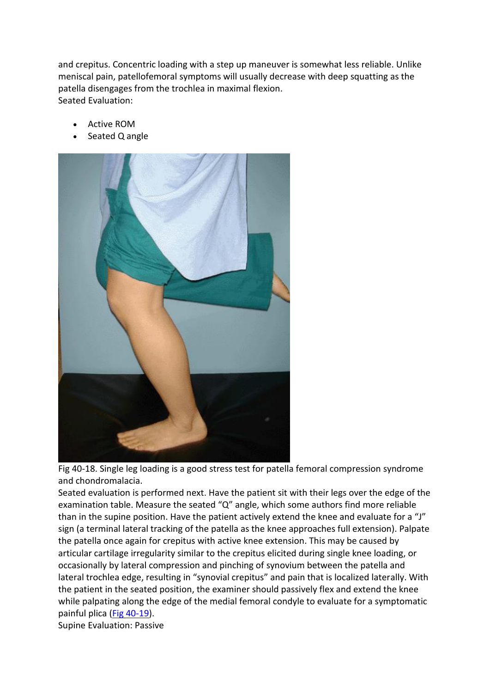and crepitus. Concentric loading with a step up maneuver is somewhat less reliable. Unlike meniscal pain, patellofemoral symptoms will usually decrease with deep squatting as the patella disengages from the trochlea in maximal flexion. Seated Evaluation:

- Active ROM
- Seated Q angle



Fig 40-18. Single leg loading is a good stress test for patella femoral compression syndrome and chondromalacia.

Seated evaluation is performed next. Have the patient sit with their legs over the edge of the examination table. Measure the seated "Q" angle, which some authors find more reliable than in the supine position. Have the patient actively extend the knee and evaluate for a "J" sign (a terminal lateral tracking of the patella as the knee approaches full extension). Palpate the patella once again for crepitus with active knee extension. This may be caused by articular cartilage irregularity similar to the crepitus elicited during single knee loading, or occasionally by lateral compression and pinching of synovium between the patella and lateral trochlea edge, resulting in "synovial crepitus" and pain that is localized laterally. With the patient in the seated position, the examiner should passively flex and extend the knee while palpating along the edge of the medial femoral condyle to evaluate for a symptomatic painful plica [\(Fig 40-19\)](https://musculoskeletalkey.com/patellar-problems-in-athletes/#F19-40).

Supine Evaluation: Passive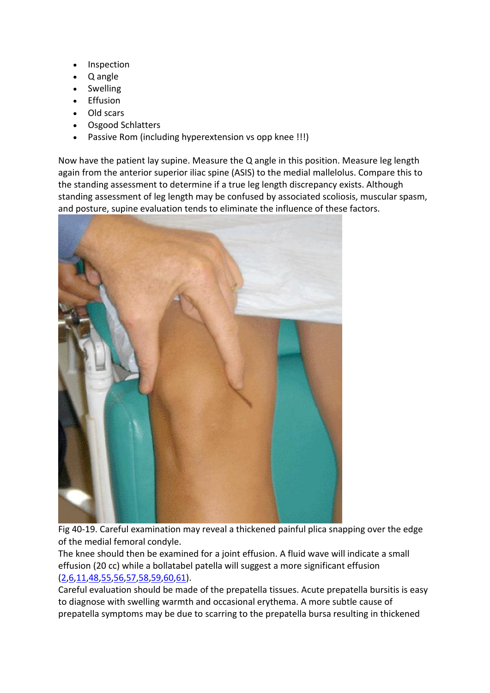- **Inspection**
- Q angle
- Swelling
- Effusion
- Old scars
- Osgood Schlatters
- Passive Rom (including hyperextension vs opp knee !!!)

Now have the patient lay supine. Measure the Q angle in this position. Measure leg length again from the anterior superior iliac spine (ASIS) to the medial mallelolus. Compare this to the standing assessment to determine if a true leg length discrepancy exists. Although standing assessment of leg length may be confused by associated scoliosis, muscular spasm, and posture, supine evaluation tends to eliminate the influence of these factors.



Fig 40-19. Careful examination may reveal a thickened painful plica snapping over the edge of the medial femoral condyle.

The knee should then be examined for a joint effusion. A fluid wave will indicate a small effusion (20 cc) while a bollatabel patella will suggest a more significant effusion [\(2](https://musculoskeletalkey.com/patellar-problems-in-athletes/#R2-40)[,6](https://musculoskeletalkey.com/patellar-problems-in-athletes/#R6-40)[,11,](https://musculoskeletalkey.com/patellar-problems-in-athletes/#R11-40)[48](https://musculoskeletalkey.com/patellar-problems-in-athletes/#R48-40)[,55](https://musculoskeletalkey.com/patellar-problems-in-athletes/#R55-40)[,56,](https://musculoskeletalkey.com/patellar-problems-in-athletes/#R56-40)[57,](https://musculoskeletalkey.com/patellar-problems-in-athletes/#R57-40)[58](https://musculoskeletalkey.com/patellar-problems-in-athletes/#R58-40)[,59](https://musculoskeletalkey.com/patellar-problems-in-athletes/#R59-40)[,60](https://musculoskeletalkey.com/patellar-problems-in-athletes/#R60-40)[,61\)](https://musculoskeletalkey.com/patellar-problems-in-athletes/#R61-40).

Careful evaluation should be made of the prepatella tissues. Acute prepatella bursitis is easy to diagnose with swelling warmth and occasional erythema. A more subtle cause of prepatella symptoms may be due to scarring to the prepatella bursa resulting in thickened